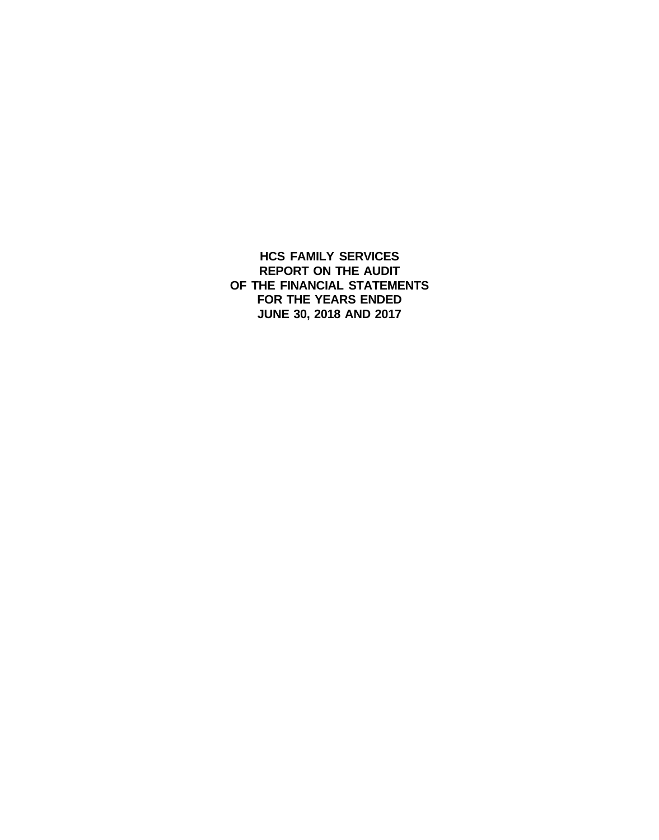**HCS FAMILY SERVICES REPORT ON THE AUDIT OF THE FINANCIAL STATEMENTS FOR THE YEARS ENDED JUNE 30, 2018 AND 2017**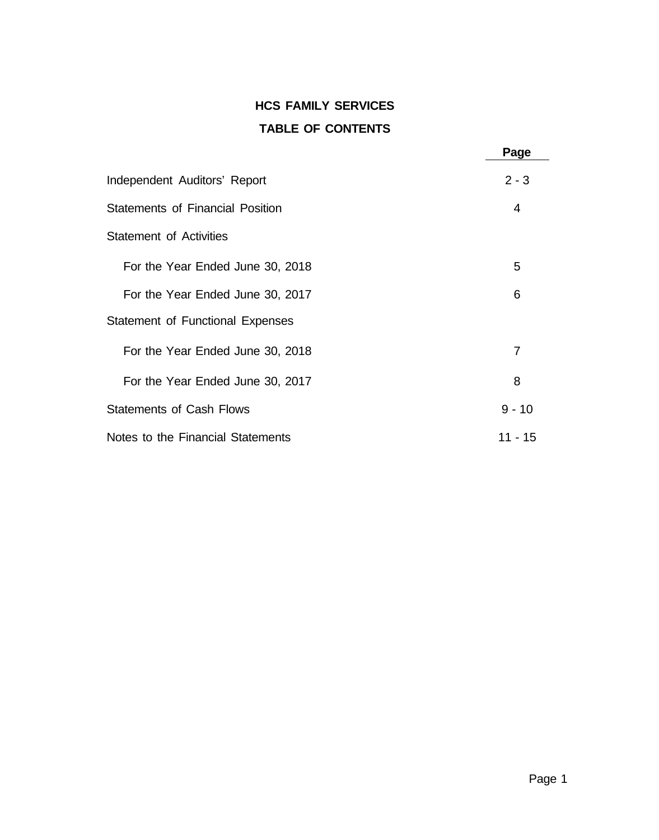# **HCS FAMILY SERVICES TABLE OF CONTENTS**

|                                         | Page     |
|-----------------------------------------|----------|
| Independent Auditors' Report            | $2 - 3$  |
| <b>Statements of Financial Position</b> | 4        |
| <b>Statement of Activities</b>          |          |
| For the Year Ended June 30, 2018        | 5        |
| For the Year Ended June 30, 2017        | 6        |
| <b>Statement of Functional Expenses</b> |          |
| For the Year Ended June 30, 2018        | 7        |
| For the Year Ended June 30, 2017        | 8        |
| <b>Statements of Cash Flows</b>         | $9 - 10$ |
| Notes to the Financial Statements       | 11 - 15  |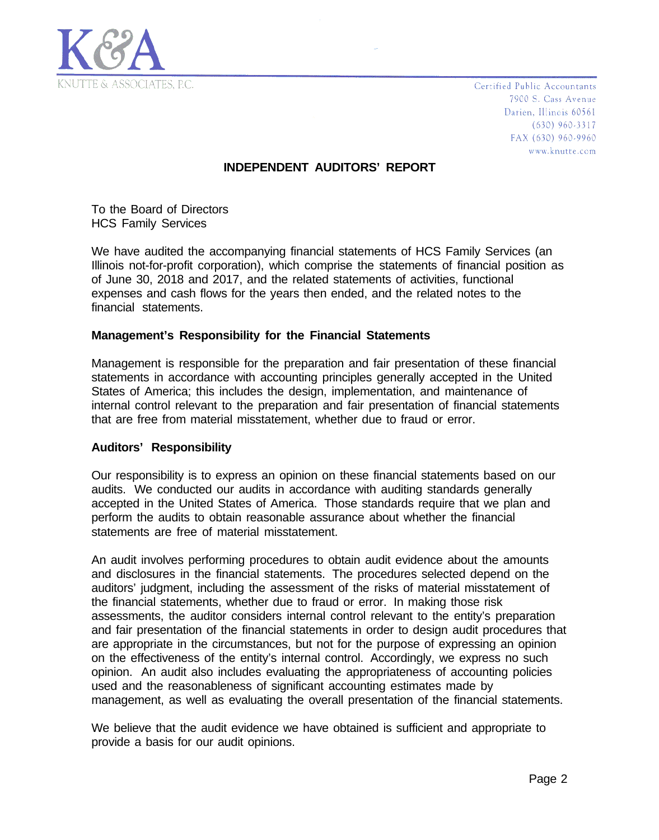

Certified Public Accountants 7900 S. Cass Avenue Darien, Illinois 60561  $(630)$  960-3317 FAX (630) 960-9960 www.knutte.com

## **INDEPENDENT AUDITORS' REPORT**

To the Board of Directors HCS Family Services

We have audited the accompanying financial statements of HCS Family Services (an Illinois not-for-profit corporation), which comprise the statements of financial position as of June 30, 2018 and 2017, and the related statements of activities, functional expenses and cash flows for the years then ended, and the related notes to the financial statements.

#### **Management's Responsibility for the Financial Statements**

Management is responsible for the preparation and fair presentation of these financial statements in accordance with accounting principles generally accepted in the United States of America; this includes the design, implementation, and maintenance of internal control relevant to the preparation and fair presentation of financial statements that are free from material misstatement, whether due to fraud or error.

#### **Auditors' Responsibility**

Our responsibility is to express an opinion on these financial statements based on our audits. We conducted our audits in accordance with auditing standards generally accepted in the United States of America. Those standards require that we plan and perform the audits to obtain reasonable assurance about whether the financial statements are free of material misstatement.

An audit involves performing procedures to obtain audit evidence about the amounts and disclosures in the financial statements. The procedures selected depend on the auditors' judgment, including the assessment of the risks of material misstatement of the financial statements, whether due to fraud or error. In making those risk assessments, the auditor considers internal control relevant to the entity's preparation and fair presentation of the financial statements in order to design audit procedures that are appropriate in the circumstances, but not for the purpose of expressing an opinion on the effectiveness of the entity's internal control. Accordingly, we express no such opinion. An audit also includes evaluating the appropriateness of accounting policies used and the reasonableness of significant accounting estimates made by management, as well as evaluating the overall presentation of the financial statements.

We believe that the audit evidence we have obtained is sufficient and appropriate to provide a basis for our audit opinions.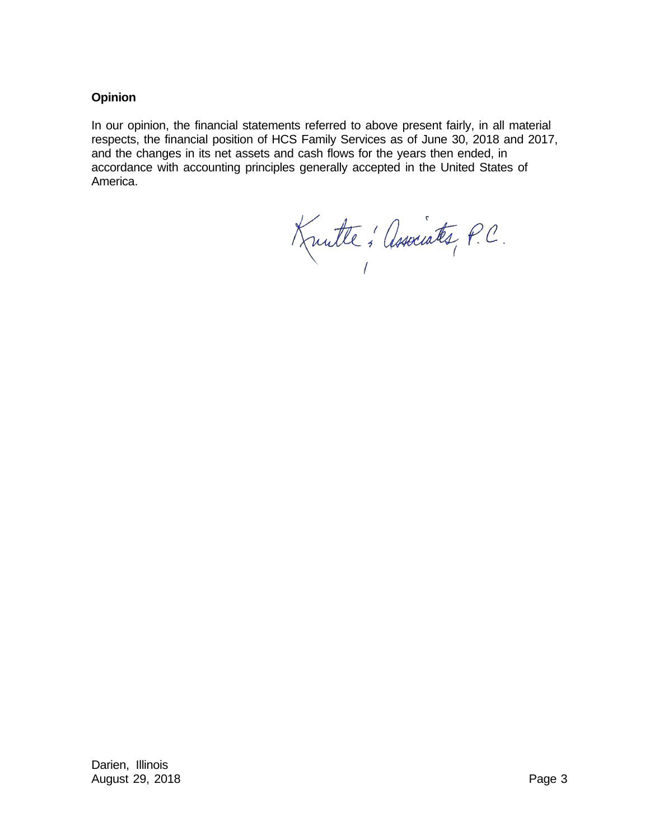## **Opinion**

In our opinion, the financial statements referred to above present fairly, in all material respects, the financial position of HCS Family Services as of June 30, 2018 and 2017, and the changes in its net assets and cash flows for the years then ended, in accordance with accounting principles generally accepted in the United States of America.

Kruitte ; Associates, P.C.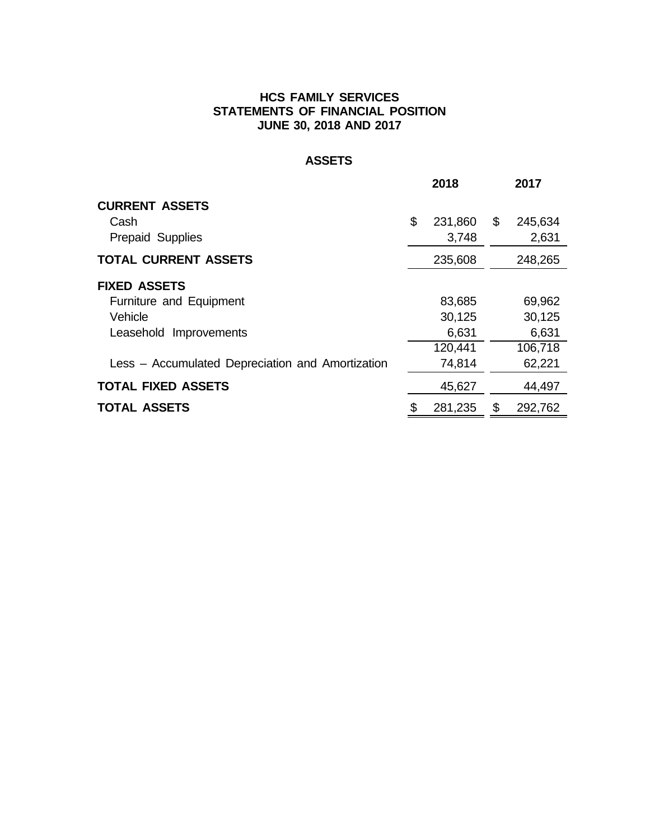## **HCS FAMILY SERVICES STATEMENTS OF FINANCIAL POSITION JUNE 30, 2018 AND 2017**

# **ASSETS**

|                                                  | 2018          | 2017          |
|--------------------------------------------------|---------------|---------------|
| <b>CURRENT ASSETS</b>                            |               |               |
| Cash                                             | \$<br>231,860 | \$<br>245,634 |
| <b>Prepaid Supplies</b>                          | 3,748         | 2,631         |
| <b>TOTAL CURRENT ASSETS</b>                      | 235,608       | 248,265       |
| <b>FIXED ASSETS</b>                              |               |               |
| Furniture and Equipment                          | 83,685        | 69,962        |
| Vehicle                                          | 30,125        | 30,125        |
| Leasehold Improvements                           | 6,631         | 6,631         |
|                                                  | 120,441       | 106,718       |
| Less – Accumulated Depreciation and Amortization | 74,814        | 62,221        |
| <b>TOTAL FIXED ASSETS</b>                        | 45,627        | 44,497        |
| <b>TOTAL ASSETS</b>                              | 281,235       | \$<br>292,762 |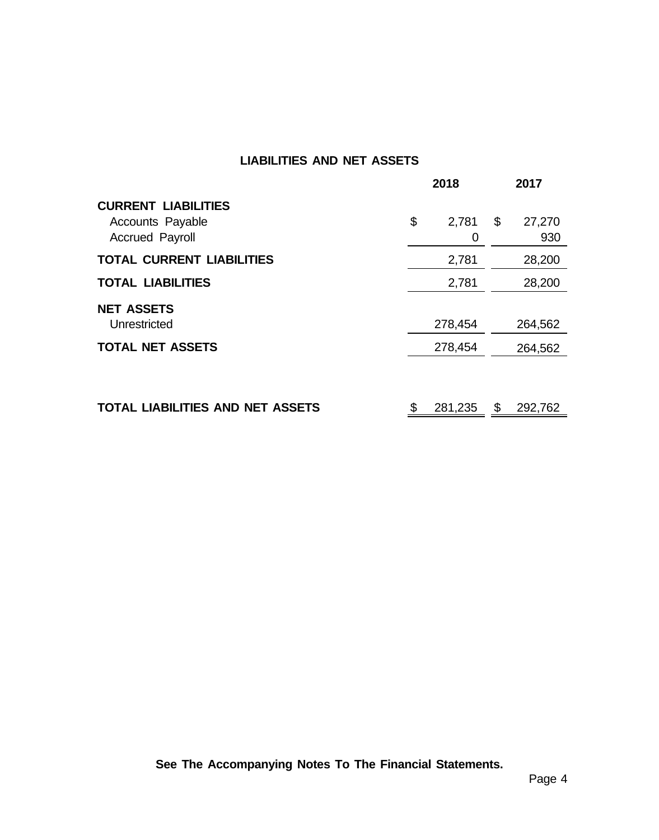# **LIABILITIES AND NET ASSETS**

|                                                                                 | 2018             | 2017                |
|---------------------------------------------------------------------------------|------------------|---------------------|
| <b>CURRENT LIABILITIES</b><br><b>Accounts Payable</b><br><b>Accrued Payroll</b> | \$<br>2,781<br>0 | \$<br>27,270<br>930 |
| <b>TOTAL CURRENT LIABILITIES</b>                                                | 2,781            | 28,200              |
| <b>TOTAL LIABILITIES</b>                                                        | 2,781            | 28,200              |
| <b>NET ASSETS</b><br>Unrestricted                                               | 278,454          | 264,562             |
| <b>TOTAL NET ASSETS</b>                                                         | 278,454          | 264,562             |
|                                                                                 |                  |                     |
| <b>TOTAL LIABILITIES AND NET ASSETS</b>                                         | \$<br>281,235    | \$<br>292,762       |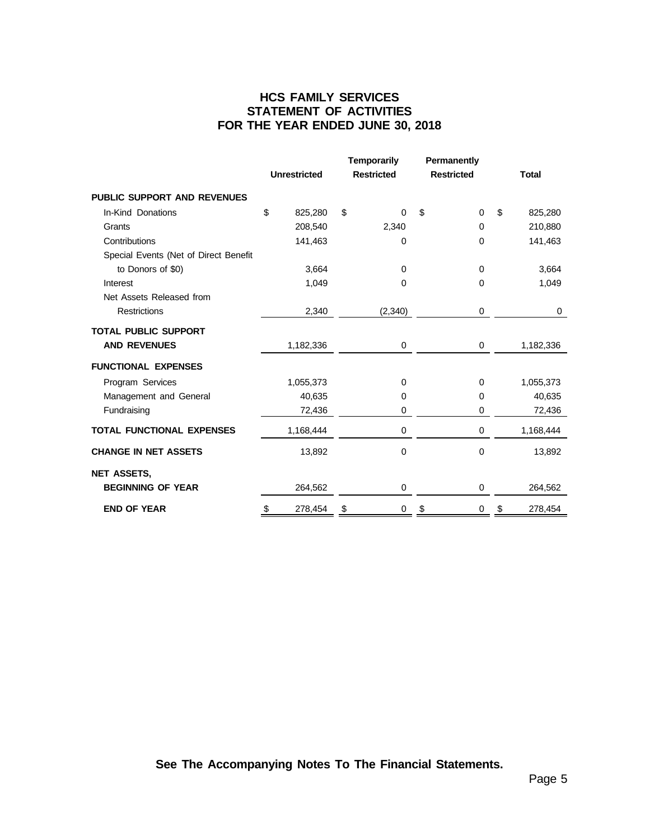#### **HCS FAMILY SERVICES STATEMENT OF ACTIVITIES FOR THE YEAR ENDED JUNE 30, 2018**

|                                       |                     |                   | <b>Temporarily</b> | <b>Permanently</b> |  |              |           |
|---------------------------------------|---------------------|-------------------|--------------------|--------------------|--|--------------|-----------|
|                                       | <b>Unrestricted</b> | <b>Restricted</b> |                    | <b>Restricted</b>  |  | <b>Total</b> |           |
| <b>PUBLIC SUPPORT AND REVENUES</b>    |                     |                   |                    |                    |  |              |           |
| In-Kind Donations                     | \$<br>825,280       | \$                | $\Omega$           | \$<br>$\pmb{0}$    |  | \$           | 825,280   |
| Grants                                | 208,540             |                   | 2,340              | $\mathbf 0$        |  |              | 210,880   |
| Contributions                         | 141,463             |                   | 0                  | $\Omega$           |  |              | 141,463   |
| Special Events (Net of Direct Benefit |                     |                   |                    |                    |  |              |           |
| to Donors of \$0)                     | 3,664               |                   | $\Omega$           | $\Omega$           |  |              | 3,664     |
| Interest                              | 1,049               |                   | 0                  | 0                  |  |              | 1,049     |
| Net Assets Released from              |                     |                   |                    |                    |  |              |           |
| <b>Restrictions</b>                   | 2,340               |                   | (2,340)            | 0                  |  |              | 0         |
| <b>TOTAL PUBLIC SUPPORT</b>           |                     |                   |                    |                    |  |              |           |
| <b>AND REVENUES</b>                   | 1,182,336           |                   | 0                  | $\mathbf 0$        |  |              | 1,182,336 |
| <b>FUNCTIONAL EXPENSES</b>            |                     |                   |                    |                    |  |              |           |
| Program Services                      | 1,055,373           |                   | $\Omega$           | $\mathbf 0$        |  |              | 1,055,373 |
| Management and General                | 40,635              |                   | $\Omega$           | $\Omega$           |  |              | 40,635    |
| Fundraising                           | 72,436              |                   | $\mathbf 0$        | $\mathbf 0$        |  |              | 72,436    |
| <b>TOTAL FUNCTIONAL EXPENSES</b>      | 1,168,444           |                   | 0                  | $\pmb{0}$          |  |              | 1,168,444 |
| <b>CHANGE IN NET ASSETS</b>           | 13,892              |                   | $\mathbf 0$        | $\mathbf 0$        |  |              | 13,892    |
| <b>NET ASSETS,</b>                    |                     |                   |                    |                    |  |              |           |
| <b>BEGINNING OF YEAR</b>              | 264,562             |                   | 0                  | 0                  |  |              | 264,562   |
| <b>END OF YEAR</b>                    | \$<br>278,454       | \$                | 0                  | \$<br>0            |  | \$           | 278,454   |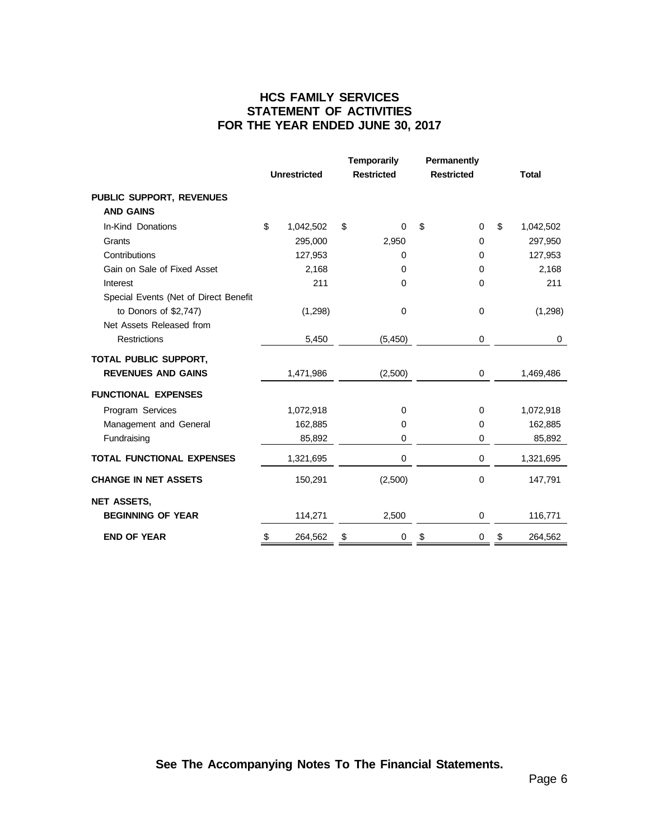#### **HCS FAMILY SERVICES STATEMENT OF ACTIVITIES FOR THE YEAR ENDED JUNE 30, 2017**

|                                       |               |                     |                   | <b>Temporarily</b> | Permanently       |             |               |              |
|---------------------------------------|---------------|---------------------|-------------------|--------------------|-------------------|-------------|---------------|--------------|
|                                       |               | <b>Unrestricted</b> | <b>Restricted</b> |                    | <b>Restricted</b> |             |               | <b>Total</b> |
| PUBLIC SUPPORT, REVENUES              |               |                     |                   |                    |                   |             |               |              |
| <b>AND GAINS</b>                      |               |                     |                   |                    |                   |             |               |              |
| In-Kind Donations                     | \$            | 1,042,502           | \$                | $\Omega$           | \$                | $\mathbf 0$ | \$            | 1,042,502    |
| Grants                                |               | 295,000             |                   | 2,950              |                   | $\mathbf 0$ |               | 297,950      |
| Contributions                         |               | 127,953             |                   | 0                  |                   | $\Omega$    |               | 127,953      |
| Gain on Sale of Fixed Asset           |               | 2,168               |                   | 0                  |                   | $\Omega$    |               | 2,168        |
| Interest                              |               | 211                 |                   | 0                  |                   | 0           |               | 211          |
| Special Events (Net of Direct Benefit |               |                     |                   |                    |                   |             |               |              |
| to Donors of $$2,747$ )               |               | (1,298)             |                   | 0                  |                   | $\mathbf 0$ |               | (1, 298)     |
| Net Assets Released from              |               |                     |                   |                    |                   |             |               |              |
| Restrictions                          |               | 5,450               |                   | (5,450)            |                   | 0           |               | $\mathbf 0$  |
| TOTAL PUBLIC SUPPORT,                 |               |                     |                   |                    |                   |             |               |              |
| <b>REVENUES AND GAINS</b>             |               | 1,471,986           |                   | (2,500)            |                   | $\mathbf 0$ |               | 1,469,486    |
| <b>FUNCTIONAL EXPENSES</b>            |               |                     |                   |                    |                   |             |               |              |
| Program Services                      |               | 1,072,918           |                   | 0                  |                   | $\mathbf 0$ |               | 1,072,918    |
| Management and General                |               | 162,885             |                   | 0                  |                   | $\Omega$    |               | 162,885      |
| Fundraising                           |               | 85,892              |                   | 0                  |                   | 0           |               | 85,892       |
| TOTAL FUNCTIONAL EXPENSES             |               | 1,321,695           |                   | 0                  |                   | $\mathbf 0$ |               | 1,321,695    |
| <b>CHANGE IN NET ASSETS</b>           |               | 150,291             |                   | (2,500)            |                   | $\mathbf 0$ |               | 147,791      |
| <b>NET ASSETS,</b>                    |               |                     |                   |                    |                   |             |               |              |
| <b>BEGINNING OF YEAR</b>              |               | 114,271             |                   | 2,500              |                   | $\,0\,$     |               | 116,771      |
| <b>END OF YEAR</b>                    | $\frac{1}{2}$ | 264,562             | \$                | 0                  | <u>\$</u>         | 0           | $\frac{1}{2}$ | 264,562      |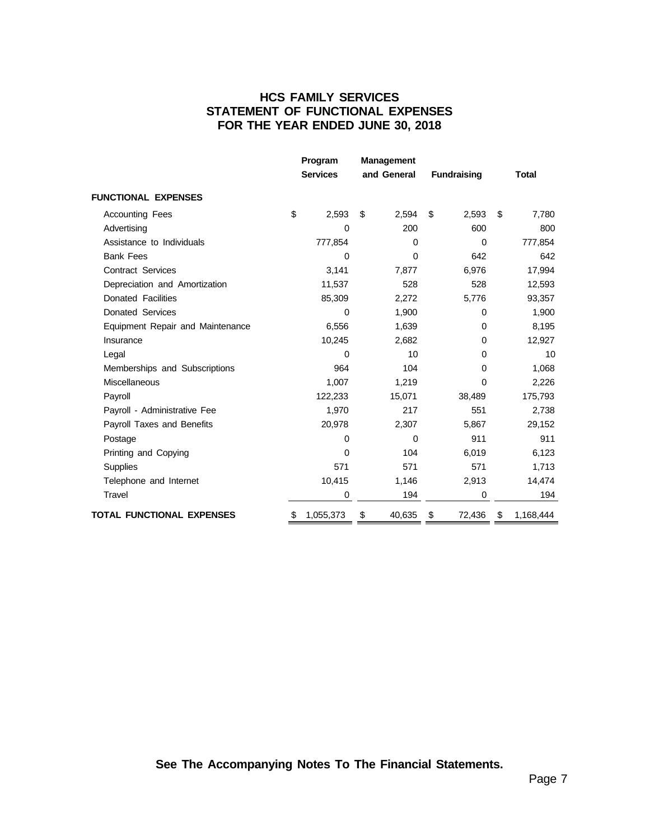#### **HCS FAMILY SERVICES STATEMENT OF FUNCTIONAL EXPENSES FOR THE YEAR ENDED JUNE 30, 2018**

|                                  | Program         |         | <b>Management</b> |                    |          |                 |
|----------------------------------|-----------------|---------|-------------------|--------------------|----------|-----------------|
|                                  | <b>Services</b> |         | and General       | <b>Fundraising</b> |          | <b>Total</b>    |
| <b>FUNCTIONAL EXPENSES</b>       |                 |         |                   |                    |          |                 |
| <b>Accounting Fees</b>           | \$              | 2,593   | \$<br>2,594       | \$                 | 2,593    | \$<br>7,780     |
| Advertising                      |                 | 0       | 200               |                    | 600      | 800             |
| Assistance to Individuals        |                 | 777,854 | $\Omega$          |                    | 0        | 777,854         |
| <b>Bank Fees</b>                 |                 | 0       | 0                 |                    | 642      | 642             |
| <b>Contract Services</b>         |                 | 3,141   | 7,877             |                    | 6,976    | 17,994          |
| Depreciation and Amortization    |                 | 11,537  | 528               |                    | 528      | 12,593          |
| <b>Donated Facilities</b>        |                 | 85,309  | 2,272             |                    | 5,776    | 93,357          |
| <b>Donated Services</b>          |                 | 0       | 1,900             |                    | 0        | 1,900           |
| Equipment Repair and Maintenance |                 | 6,556   | 1,639             |                    | 0        | 8,195           |
| Insurance                        |                 | 10,245  | 2,682             |                    | 0        | 12,927          |
| Legal                            |                 | 0       | 10                |                    | 0        | 10              |
| Memberships and Subscriptions    |                 | 964     | 104               |                    | $\Omega$ | 1,068           |
| Miscellaneous                    |                 | 1,007   | 1,219             |                    | 0        | 2,226           |
| Payroll                          |                 | 122,233 | 15,071            |                    | 38,489   | 175,793         |
| Payroll - Administrative Fee     |                 | 1,970   | 217               |                    | 551      | 2,738           |
| Payroll Taxes and Benefits       |                 | 20,978  | 2,307             |                    | 5,867    | 29,152          |
| Postage                          |                 | 0       | 0                 |                    | 911      | 911             |
| Printing and Copying             |                 | 0       | 104               |                    | 6,019    | 6,123           |
| Supplies                         |                 | 571     | 571               |                    | 571      | 1,713           |
| Telephone and Internet           |                 | 10,415  | 1,146             |                    | 2,913    | 14,474          |
| Travel                           |                 | 0       | 194               |                    | 0        | 194             |
| TOTAL FUNCTIONAL EXPENSES        | 1,055,373<br>\$ |         | \$<br>40,635      | \$                 | 72,436   | \$<br>1,168,444 |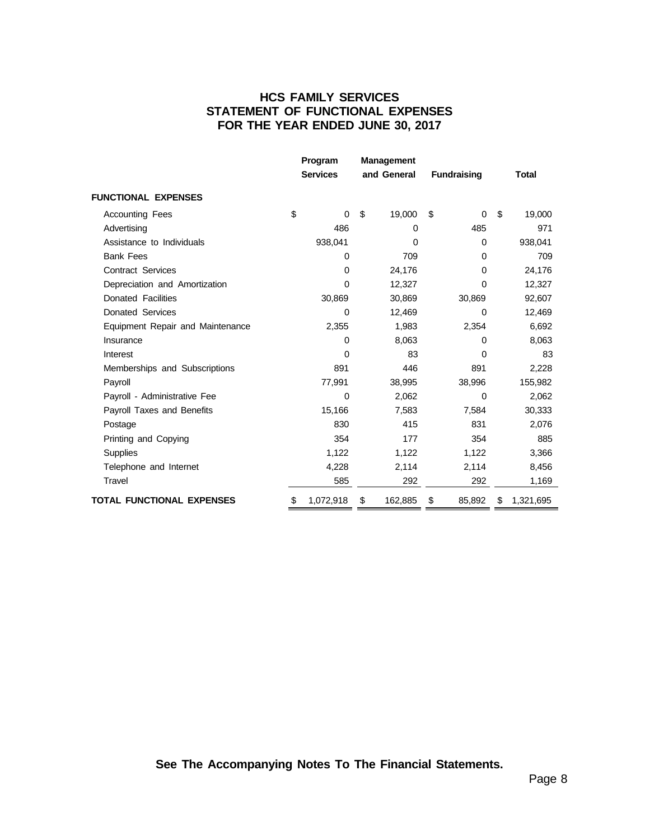#### **HCS FAMILY SERVICES STATEMENT OF FUNCTIONAL EXPENSES FOR THE YEAR ENDED JUNE 30, 2017**

|                                  | Program         | <b>Management</b> |                    |                 |
|----------------------------------|-----------------|-------------------|--------------------|-----------------|
|                                  | <b>Services</b> | and General       | <b>Fundraising</b> | <b>Total</b>    |
| <b>FUNCTIONAL EXPENSES</b>       |                 |                   |                    |                 |
| <b>Accounting Fees</b>           | \$<br>0         | \$<br>19,000      | \$<br>0            | \$<br>19,000    |
| Advertising                      | 486             | 0                 | 485                | 971             |
| Assistance to Individuals        | 938,041         | 0                 | 0                  | 938,041         |
| <b>Bank Fees</b>                 | 0               | 709               | 0                  | 709             |
| <b>Contract Services</b>         | 0               | 24,176            | 0                  | 24,176          |
| Depreciation and Amortization    | 0               | 12,327            | 0                  | 12,327          |
| Donated Facilities               | 30,869          | 30,869            | 30,869             | 92,607          |
| <b>Donated Services</b>          | 0               | 12,469            | $\Omega$           | 12,469          |
| Equipment Repair and Maintenance | 2,355           | 1,983             | 2,354              | 6,692           |
| Insurance                        | $\Omega$        | 8,063             | $\Omega$           | 8,063           |
| Interest                         | 0               | 83                | $\Omega$           | 83              |
| Memberships and Subscriptions    | 891             | 446               | 891                | 2,228           |
| Payroll                          | 77,991          | 38,995            | 38,996             | 155,982         |
| Payroll - Administrative Fee     | $\Omega$        | 2,062             | $\Omega$           | 2,062           |
| Payroll Taxes and Benefits       | 15,166          | 7,583             | 7,584              | 30,333          |
| Postage                          | 830             | 415               | 831                | 2,076           |
| Printing and Copying             | 354             | 177               | 354                | 885             |
| Supplies                         | 1,122           | 1,122             | 1,122              | 3,366           |
| Telephone and Internet           | 4,228           | 2,114             | 2,114              | 8,456           |
| Travel                           | 585             | 292               | 292                | 1,169           |
| TOTAL FUNCTIONAL EXPENSES        | 1,072,918<br>\$ | 162,885<br>\$     | 85,892<br>\$       | 1,321,695<br>\$ |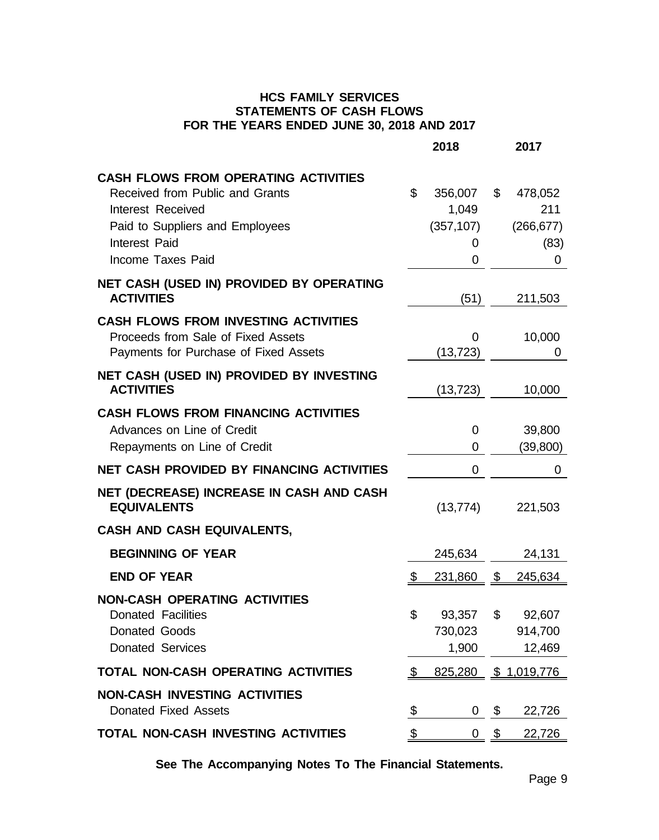#### **HCS FAMILY SERVICES STATEMENTS OF CASH FLOWS FOR THE YEARS ENDED JUNE 30, 2018 AND 2017**

|                                                                                                                                                                              |                           | 2018                                        |               | 2017                                      |
|------------------------------------------------------------------------------------------------------------------------------------------------------------------------------|---------------------------|---------------------------------------------|---------------|-------------------------------------------|
| <b>CASH FLOWS FROM OPERATING ACTIVITIES</b><br>Received from Public and Grants<br>Interest Received<br>Paid to Suppliers and Employees<br>Interest Paid<br>Income Taxes Paid | \$                        | 356,007 \$<br>1,049<br>(357, 107)<br>0<br>0 |               | 478,052<br>211<br>(266, 677)<br>(83)<br>0 |
| NET CASH (USED IN) PROVIDED BY OPERATING<br><b>ACTIVITIES</b>                                                                                                                |                           | (51)                                        |               | 211,503                                   |
| <b>CASH FLOWS FROM INVESTING ACTIVITIES</b><br>Proceeds from Sale of Fixed Assets<br>Payments for Purchase of Fixed Assets                                                   |                           | 0<br>(13, 723)                              |               | 10,000<br>0                               |
| NET CASH (USED IN) PROVIDED BY INVESTING<br><b>ACTIVITIES</b>                                                                                                                |                           | (13, 723)                                   |               | 10,000                                    |
| <b>CASH FLOWS FROM FINANCING ACTIVITIES</b><br>Advances on Line of Credit<br>Repayments on Line of Credit                                                                    |                           | $\overline{0}$<br>0                         |               | 39,800<br>(39, 800)                       |
| NET CASH PROVIDED BY FINANCING ACTIVITIES                                                                                                                                    |                           | 0                                           |               | 0                                         |
| NET (DECREASE) INCREASE IN CASH AND CASH<br><b>EQUIVALENTS</b>                                                                                                               |                           | (13, 774)                                   |               | 221,503                                   |
| <b>CASH AND CASH EQUIVALENTS,</b>                                                                                                                                            |                           |                                             |               |                                           |
| <b>BEGINNING OF YEAR</b>                                                                                                                                                     |                           | 245,634                                     |               | 24,131                                    |
| <b>END OF YEAR</b>                                                                                                                                                           |                           | <u>231,860</u>                              | $\mathcal{S}$ | 245,634                                   |
| <b>NON-CASH OPERATING ACTIVITIES</b><br><b>Donated Facilities</b><br><b>Donated Goods</b><br><b>Donated Services</b>                                                         | \$                        | 93,357<br>730,023<br>1,900                  | \$            | 92,607<br>914,700<br>12,469               |
| TOTAL NON-CASH OPERATING ACTIVITIES                                                                                                                                          | \$                        |                                             |               | <u>825,280 \$ 1,019,776</u>               |
| <b>NON-CASH INVESTING ACTIVITIES</b><br><b>Donated Fixed Assets</b>                                                                                                          | \$                        | $\mathbf{0}$                                | - \$          | 22,726                                    |
| TOTAL NON-CASH INVESTING ACTIVITIES                                                                                                                                          | $\boldsymbol{\mathsf{S}}$ |                                             | \$            | <u>22,726</u>                             |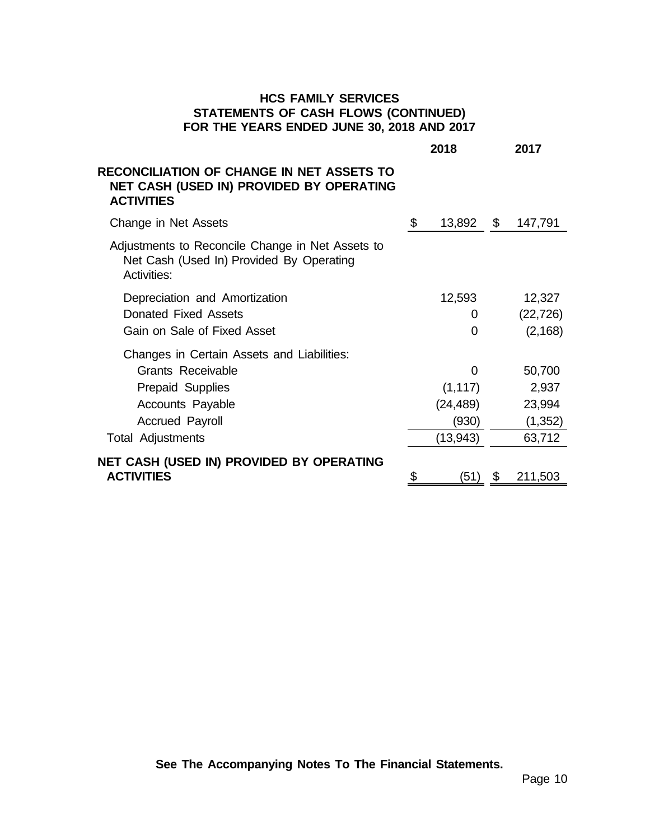#### **HCS FAMILY SERVICES STATEMENTS OF CASH FLOWS (CONTINUED) FOR THE YEARS ENDED JUNE 30, 2018 AND 2017**

|                                                                                                                    | 2018         |               | 2017      |
|--------------------------------------------------------------------------------------------------------------------|--------------|---------------|-----------|
| RECONCILIATION OF CHANGE IN NET ASSETS TO<br>NET CASH (USED IN) PROVIDED BY OPERATING<br><b>ACTIVITIES</b>         |              |               |           |
| Change in Net Assets                                                                                               | \$<br>13,892 | $\mathcal{L}$ | 147,791   |
| Adjustments to Reconcile Change in Net Assets to<br>Net Cash (Used In) Provided By Operating<br><b>Activities:</b> |              |               |           |
| Depreciation and Amortization                                                                                      | 12,593       |               | 12,327    |
| Donated Fixed Assets                                                                                               | 0            |               | (22, 726) |
| Gain on Sale of Fixed Asset                                                                                        | $\Omega$     |               | (2, 168)  |
| Changes in Certain Assets and Liabilities:                                                                         |              |               |           |
| <b>Grants Receivable</b>                                                                                           | $\Omega$     |               | 50,700    |
| <b>Prepaid Supplies</b>                                                                                            | (1, 117)     |               | 2,937     |
| Accounts Payable                                                                                                   | (24, 489)    |               | 23,994    |
| <b>Accrued Payroll</b>                                                                                             | (930)        |               | (1,352)   |
| <b>Total Adjustments</b>                                                                                           | (13, 943)    |               | 63,712    |
| NET CASH (USED IN) PROVIDED BY OPERATING<br><b>ACTIVITIES</b>                                                      | (51)         | \$            | 211,503   |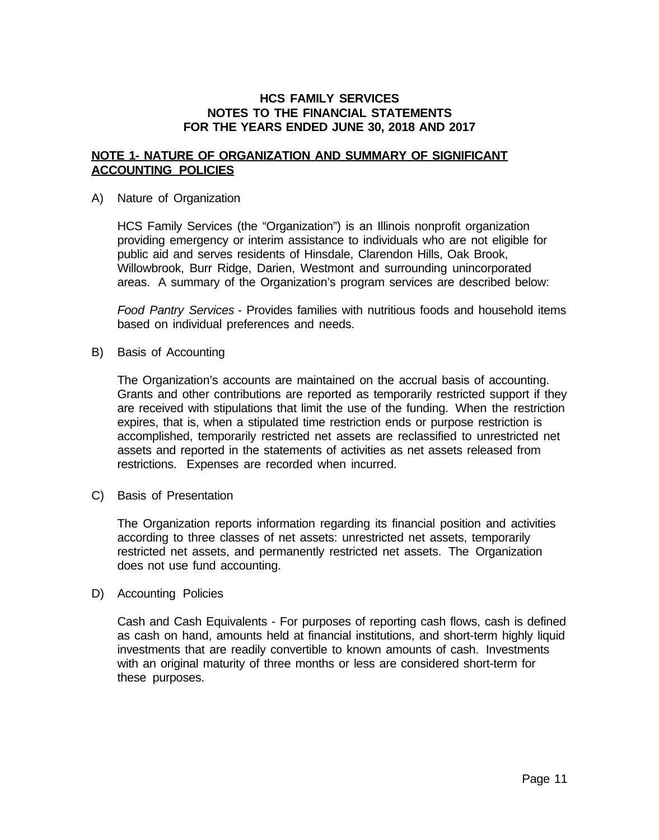#### **NOTE 1- NATURE OF ORGANIZATION AND SUMMARY OF SIGNIFICANT ACCOUNTING POLICIES**

#### A) Nature of Organization

HCS Family Services (the "Organization") is an Illinois nonprofit organization providing emergency or interim assistance to individuals who are not eligible for public aid and serves residents of Hinsdale, Clarendon Hills, Oak Brook, Willowbrook, Burr Ridge, Darien, Westmont and surrounding unincorporated areas. A summary of the Organization's program services are described below:

*Food Pantry Services* - Provides families with nutritious foods and household items based on individual preferences and needs.

B) Basis of Accounting

The Organization's accounts are maintained on the accrual basis of accounting. Grants and other contributions are reported as temporarily restricted support if they are received with stipulations that limit the use of the funding. When the restriction expires, that is, when a stipulated time restriction ends or purpose restriction is accomplished, temporarily restricted net assets are reclassified to unrestricted net assets and reported in the statements of activities as net assets released from restrictions. Expenses are recorded when incurred.

C) Basis of Presentation

The Organization reports information regarding its financial position and activities according to three classes of net assets: unrestricted net assets, temporarily restricted net assets, and permanently restricted net assets. The Organization does not use fund accounting.

D) Accounting Policies

Cash and Cash Equivalents - For purposes of reporting cash flows, cash is defined as cash on hand, amounts held at financial institutions, and short-term highly liquid investments that are readily convertible to known amounts of cash. Investments with an original maturity of three months or less are considered short-term for these purposes.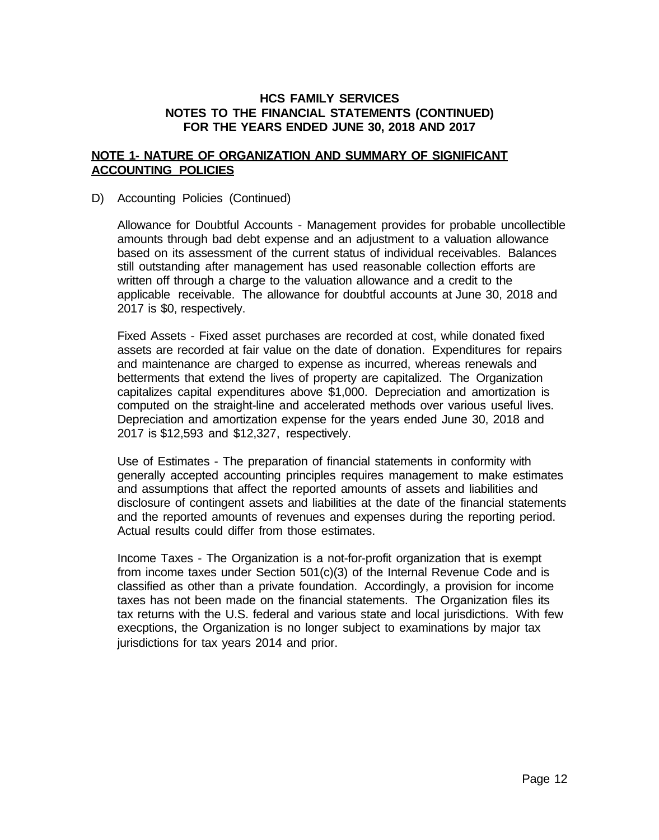#### **NOTE 1- NATURE OF ORGANIZATION AND SUMMARY OF SIGNIFICANT ACCOUNTING POLICIES**

#### D) Accounting Policies (Continued)

Allowance for Doubtful Accounts - Management provides for probable uncollectible amounts through bad debt expense and an adjustment to a valuation allowance based on its assessment of the current status of individual receivables. Balances still outstanding after management has used reasonable collection efforts are written off through a charge to the valuation allowance and a credit to the applicable receivable. The allowance for doubtful accounts at June 30, 2018 and 2017 is \$0, respectively.

Fixed Assets - Fixed asset purchases are recorded at cost, while donated fixed assets are recorded at fair value on the date of donation. Expenditures for repairs and maintenance are charged to expense as incurred, whereas renewals and betterments that extend the lives of property are capitalized. The Organization capitalizes capital expenditures above \$1,000. Depreciation and amortization is computed on the straight-line and accelerated methods over various useful lives. Depreciation and amortization expense for the years ended June 30, 2018 and 2017 is \$12,593 and \$12,327, respectively.

Use of Estimates - The preparation of financial statements in conformity with generally accepted accounting principles requires management to make estimates and assumptions that affect the reported amounts of assets and liabilities and disclosure of contingent assets and liabilities at the date of the financial statements and the reported amounts of revenues and expenses during the reporting period. Actual results could differ from those estimates.

Income Taxes - The Organization is a not-for-profit organization that is exempt from income taxes under Section 501(c)(3) of the Internal Revenue Code and is classified as other than a private foundation. Accordingly, a provision for income taxes has not been made on the financial statements. The Organization files its tax returns with the U.S. federal and various state and local jurisdictions. With few execptions, the Organization is no longer subject to examinations by major tax jurisdictions for tax years 2014 and prior.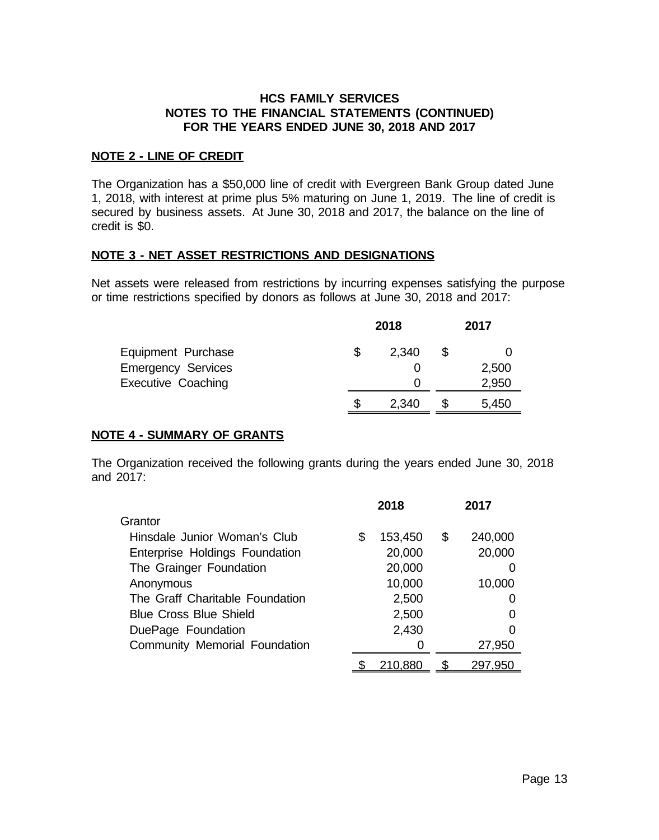#### **NOTE 2 - LINE OF CREDIT**

The Organization has a \$50,000 line of credit with Evergreen Bank Group dated June 1, 2018, with interest at prime plus 5% maturing on June 1, 2019. The line of credit is secured by business assets. At June 30, 2018 and 2017, the balance on the line of credit is \$0.

#### **NOTE 3 - NET ASSET RESTRICTIONS AND DESIGNATIONS**

Net assets were released from restrictions by incurring expenses satisfying the purpose or time restrictions specified by donors as follows at June 30, 2018 and 2017:

|                           | 2018 |       | 2017  |
|---------------------------|------|-------|-------|
| Equipment Purchase        |      | 2,340 |       |
| <b>Emergency Services</b> |      |       | 2,500 |
| <b>Executive Coaching</b> |      |       | 2,950 |
|                           |      | 2,340 | 5,450 |

#### **NOTE 4 - SUMMARY OF GRANTS**

The Organization received the following grants during the years ended June 30, 2018 and 2017:

|                                      | 2018          | 2017          |
|--------------------------------------|---------------|---------------|
| Grantor                              |               |               |
| Hinsdale Junior Woman's Club         | \$<br>153,450 | \$<br>240,000 |
| Enterprise Holdings Foundation       | 20,000        | 20,000        |
| The Grainger Foundation              | 20,000        |               |
| Anonymous                            | 10,000        | 10,000        |
| The Graff Charitable Foundation      | 2,500         |               |
| <b>Blue Cross Blue Shield</b>        | 2,500         |               |
| DuePage Foundation                   | 2,430         |               |
| <b>Community Memorial Foundation</b> |               | 27,950        |
|                                      | 210.880       | 297.950       |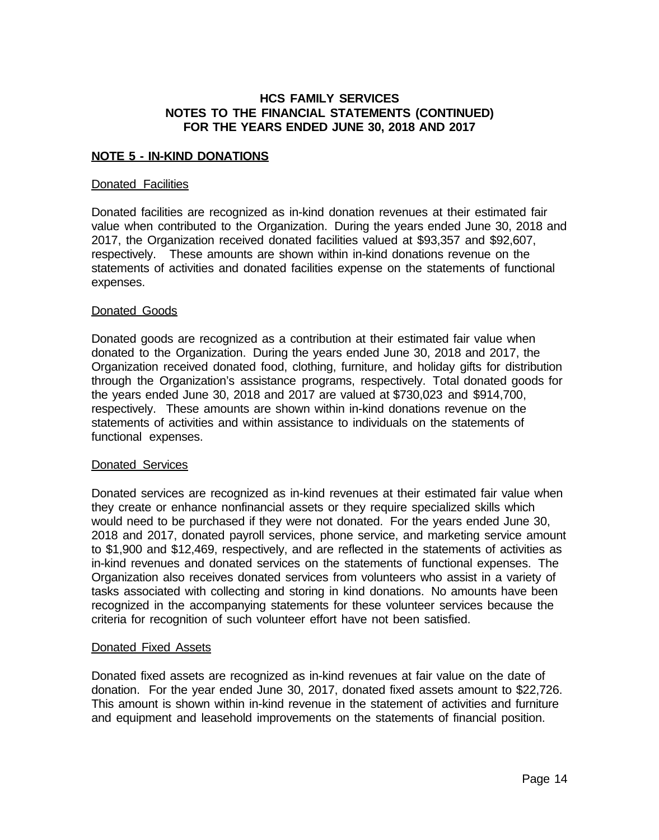#### **NOTE 5 - IN-KIND DONATIONS**

#### Donated Facilities

Donated facilities are recognized as in-kind donation revenues at their estimated fair value when contributed to the Organization. During the years ended June 30, 2018 and 2017, the Organization received donated facilities valued at \$93,357 and \$92,607, respectively. These amounts are shown within in-kind donations revenue on the statements of activities and donated facilities expense on the statements of functional expenses.

#### Donated Goods

Donated goods are recognized as a contribution at their estimated fair value when donated to the Organization. During the years ended June 30, 2018 and 2017, the Organization received donated food, clothing, furniture, and holiday gifts for distribution through the Organization's assistance programs, respectively. Total donated goods for the years ended June 30, 2018 and 2017 are valued at \$730,023 and \$914,700, respectively. These amounts are shown within in-kind donations revenue on the statements of activities and within assistance to individuals on the statements of functional expenses.

#### Donated Services

Donated services are recognized as in-kind revenues at their estimated fair value when they create or enhance nonfinancial assets or they require specialized skills which would need to be purchased if they were not donated. For the years ended June 30, 2018 and 2017, donated payroll services, phone service, and marketing service amount to \$1,900 and \$12,469, respectively, and are reflected in the statements of activities as in-kind revenues and donated services on the statements of functional expenses. The Organization also receives donated services from volunteers who assist in a variety of tasks associated with collecting and storing in kind donations. No amounts have been recognized in the accompanying statements for these volunteer services because the criteria for recognition of such volunteer effort have not been satisfied.

#### Donated Fixed Assets

Donated fixed assets are recognized as in-kind revenues at fair value on the date of donation. For the year ended June 30, 2017, donated fixed assets amount to \$22,726. This amount is shown within in-kind revenue in the statement of activities and furniture and equipment and leasehold improvements on the statements of financial position.